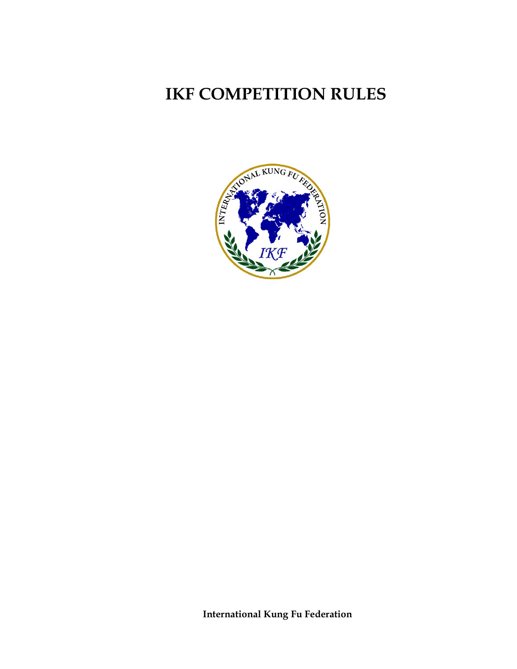# **IKF COMPETITION RULES**



**International Kung Fu Federation**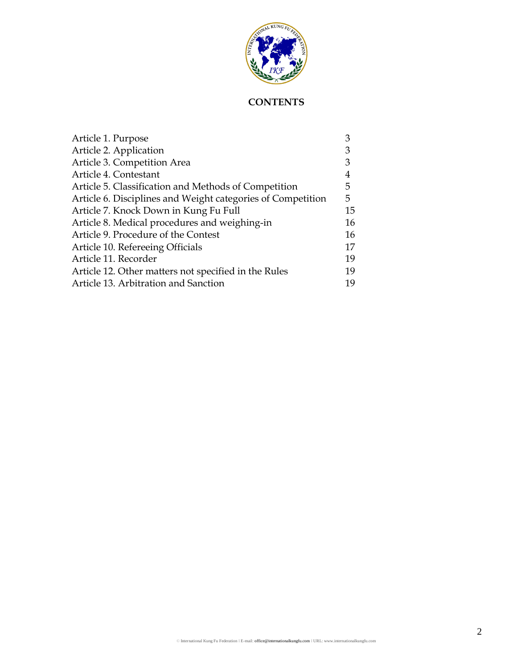

# **CONTENTS**

| Article 1. Purpose                                          | 3  |
|-------------------------------------------------------------|----|
| Article 2. Application                                      | 3  |
| Article 3. Competition Area                                 | 3  |
| Article 4. Contestant                                       | 4  |
| Article 5. Classification and Methods of Competition        | 5. |
| Article 6. Disciplines and Weight categories of Competition | 5. |
| Article 7. Knock Down in Kung Fu Full                       | 15 |
| Article 8. Medical procedures and weighing-in               | 16 |
| Article 9. Procedure of the Contest                         | 16 |
| Article 10. Refereeing Officials                            | 17 |
| Article 11. Recorder                                        | 19 |
| Article 12. Other matters not specified in the Rules        | 19 |
| Article 13. Arbitration and Sanction                        | 19 |
|                                                             |    |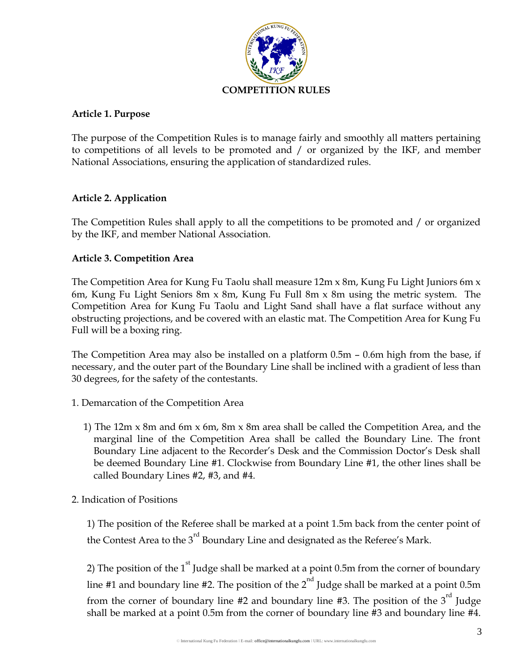

#### **Article 1. Purpose**

The purpose of the Competition Rules is to manage fairly and smoothly all matters pertaining to competitions of all levels to be promoted and / or organized by the IKF, and member National Associations, ensuring the application of standardized rules.

#### **Article 2. Application**

The Competition Rules shall apply to all the competitions to be promoted and / or organized by the IKF, and member National Association.

#### **Article 3. Competition Area**

The Competition Area for Kung Fu Taolu shall measure 12m x 8m, Kung Fu Light Juniors 6m x 6m, Kung Fu Light Seniors 8m x 8m, Kung Fu Full 8m x 8m using the metric system. The Competition Area for Kung Fu Taolu and Light Sand shall have a flat surface without any obstructing projections, and be covered with an elastic mat. The Competition Area for Kung Fu Full will be a boxing ring.

The Competition Area may also be installed on a platform 0.5m – 0.6m high from the base, if necessary, and the outer part of the Boundary Line shall be inclined with a gradient of less than 30 degrees, for the safety of the contestants.

- 1. Demarcation of the Competition Area
	- 1) The 12m x 8m and 6m x 6m, 8m x 8m area shall be called the Competition Area, and the marginal line of the Competition Area shall be called the Boundary Line. The front Boundary Line adjacent to the Recorder's Desk and the Commission Doctor's Desk shall be deemed Boundary Line #1. Clockwise from Boundary Line #1, the other lines shall be called Boundary Lines #2, #3, and #4.
- 2. Indication of Positions

1) The position of the Referee shall be marked at a point 1.5m back from the center point of the Contest Area to the 3<sup>rd</sup> Boundary Line and designated as the Referee's Mark.

2) The position of the  $1<sup>st</sup>$  Judge shall be marked at a point 0.5m from the corner of boundary line #1 and boundary line #2. The position of the  $2<sup>nd</sup>$  Judge shall be marked at a point 0.5m from the corner of boundary line  $#2$  and boundary line  $#3$ . The position of the  $3<sup>rd</sup>$  Judge shall be marked at a point 0.5m from the corner of boundary line #3 and boundary line #4.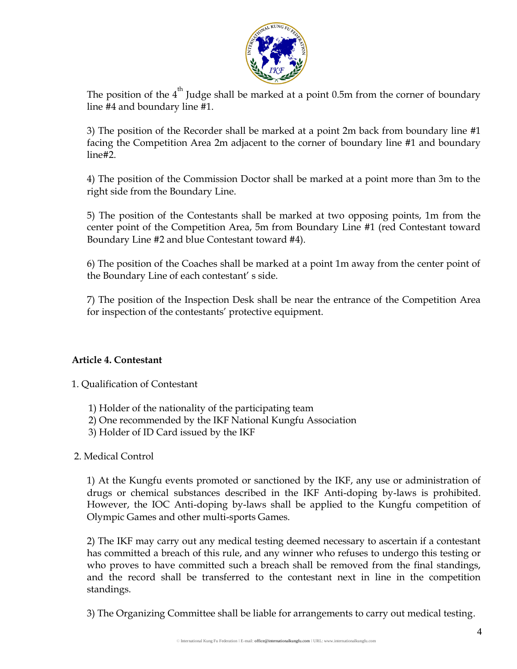

The position of the  $4<sup>th</sup>$  Judge shall be marked at a point 0.5m from the corner of boundary line #4 and boundary line #1.

3) The position of the Recorder shall be marked at a point 2m back from boundary line #1 facing the Competition Area 2m adjacent to the corner of boundary line #1 and boundary line#2.

4) The position of the Commission Doctor shall be marked at a point more than 3m to the right side from the Boundary Line.

5) The position of the Contestants shall be marked at two opposing points, 1m from the center point of the Competition Area, 5m from Boundary Line #1 (red Contestant toward Boundary Line #2 and blue Contestant toward #4).

6) The position of the Coaches shall be marked at a point 1m away from the center point of the Boundary Line of each contestant' s side.

7) The position of the Inspection Desk shall be near the entrance of the Competition Area for inspection of the contestants' protective equipment.

#### **Article 4. Contestant**

1. Qualification of Contestant

- 1) Holder of the nationality of the participating team
- 2) One recommended by the IKF National Kungfu Association
- 3) Holder of ID Card issued by the IKF

2. Medical Control

1) At the Kungfu events promoted or sanctioned by the IKF, any use or administration of drugs or chemical substances described in the IKF Anti-doping by-laws is prohibited. However, the IOC Anti-doping by-laws shall be applied to the Kungfu competition of Olympic Games and other multi-sports Games.

2) The IKF may carry out any medical testing deemed necessary to ascertain if a contestant has committed a breach of this rule, and any winner who refuses to undergo this testing or who proves to have committed such a breach shall be removed from the final standings, and the record shall be transferred to the contestant next in line in the competition standings.

3) The Organizing Committee shall be liable for arrangements to carry out medical testing.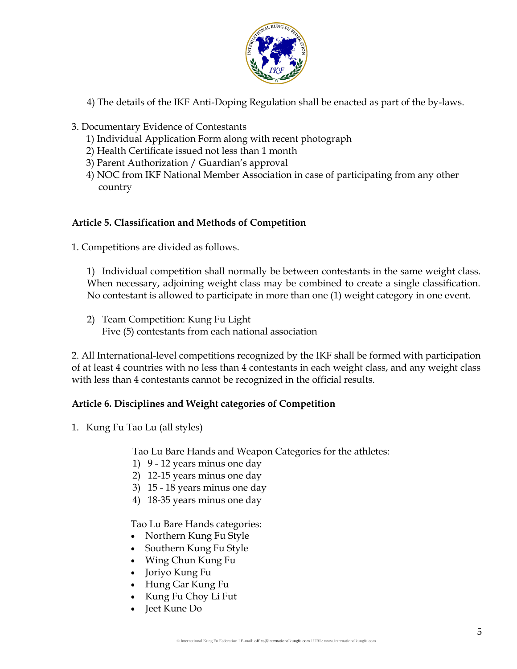

- 4) The details of the IKF Anti-Doping Regulation shall be enacted as part of the by-laws.
- 3. Documentary Evidence of Contestants
	- 1) Individual Application Form along with recent photograph
	- 2) Health Certificate issued not less than 1 month
	- 3) Parent Authorization / Guardian's approval
	- 4) NOC from IKF National Member Association in case of participating from any other country

#### **Article 5. Classification and Methods of Competition**

1. Competitions are divided as follows.

1) Individual competition shall normally be between contestants in the same weight class. When necessary, adjoining weight class may be combined to create a single classification. No contestant is allowed to participate in more than one (1) weight category in one event.

2) Team Competition: Kung Fu Light Five (5) contestants from each national association

2. All International-level competitions recognized by the IKF shall be formed with participation of at least 4 countries with no less than 4 contestants in each weight class, and any weight class with less than 4 contestants cannot be recognized in the official results.

## **Article 6. Disciplines and Weight categories of Competition**

1. Kung Fu Tao Lu (all styles)

Tao Lu Bare Hands and Weapon Categories for the athletes:

- 1) 9 12 years minus one day
- 2) 12-15 years minus one day
- 3) 15 18 years minus one day
- 4) 18-35 years minus one day

Tao Lu Bare Hands categories:

- Northern Kung Fu Style
- Southern Kung Fu Style
- Wing Chun Kung Fu
- Joriyo Kung Fu
- Hung Gar Kung Fu
- Kung Fu Choy Li Fut
- Jeet Kune Do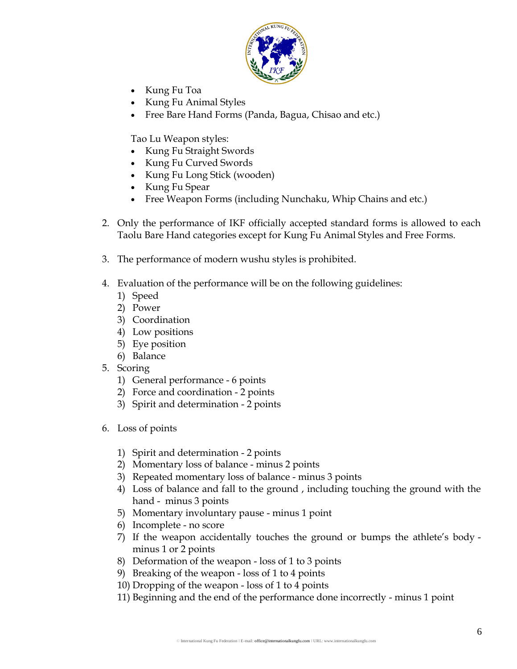

- Kung Fu Toa
- Kung Fu Animal Styles
- Free Bare Hand Forms (Panda, Bagua, Chisao and etc.)

Tao Lu Weapon styles:

- Kung Fu Straight Swords
- Kung Fu Curved Swords
- Kung Fu Long Stick (wooden)
- Kung Fu Spear
- Free Weapon Forms (including Nunchaku, Whip Chains and etc.)
- 2. Only the performance of IKF officially accepted standard forms is allowed to each Taolu Bare Hand categories except for Kung Fu Animal Styles and Free Forms.
- 3. The performance of modern wushu styles is prohibited.
- 4. Evaluation of the performance will be on the following guidelines:
	- 1) Speed
	- 2) Power
	- 3) Coordination
	- 4) Low positions
	- 5) Eye position
	- 6) Balance
- 5. Scoring
	- 1) General performance 6 points
	- 2) Force and coordination 2 points
	- 3) Spirit and determination 2 points
- 6. Loss of points
	- 1) Spirit and determination 2 points
	- 2) Momentary loss of balance minus 2 points
	- 3) Repeated momentary loss of balance minus 3 points
	- 4) Loss of balance and fall to the ground , including touching the ground with the hand - minus 3 points
	- 5) Momentary involuntary pause minus 1 point
	- 6) Incomplete no score
	- 7) If the weapon accidentally touches the ground or bumps the athlete's body minus 1 or 2 points
	- 8) Deformation of the weapon loss of 1 to 3 points
	- 9) Breaking of the weapon loss of 1 to 4 points
	- 10) Dropping of the weapon loss of 1 to 4 points
	- 11) Beginning and the end of the performance done incorrectly minus 1 point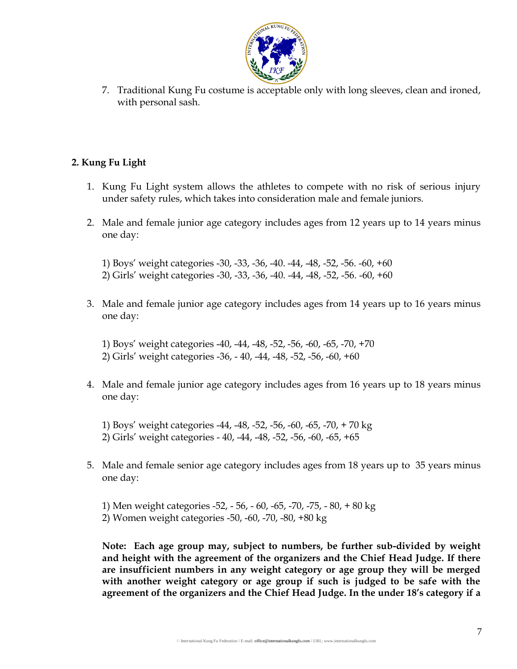

7. Traditional Kung Fu costume is acceptable only with long sleeves, clean and ironed, with personal sash.

### **2. Kung Fu Light**

- 1. Kung Fu Light system allows the athletes to compete with no risk of serious injury under safety rules, which takes into consideration male and female juniors.
- 2. Male and female junior age category includes ages from 12 years up to 14 years minus one day:

1) Boys' weight categories -30, -33, -36, -40. -44, -48, -52, -56. -60, +60 2) Girls' weight categories -30, -33, -36, -40. -44, -48, -52, -56. -60, +60

3. Male and female junior age category includes ages from 14 years up to 16 years minus one day:

1) Boys' weight categories -40, -44, -48, -52, -56, -60, -65, -70, +70 2) Girls' weight categories -36, - 40, -44, -48, -52, -56, -60, +60

4. Male and female junior age category includes ages from 16 years up to 18 years minus one day:

1) Boys' weight categories -44, -48, -52, -56, -60, -65, -70, + 70 kg 2) Girls' weight categories - 40, -44, -48, -52, -56, -60, -65, +65

5. Male and female senior age category includes ages from 18 years up to 35 years minus one day:

1) Men weight categories -52, - 56, - 60, -65, -70, -75, - 80, + 80 kg 2) Women weight categories -50, -60, -70, -80, +80 kg

**Note: Each age group may, subject to numbers, be further sub-divided by weight and height with the agreement of the organizers and the Chief Head Judge. If there are insufficient numbers in any weight category or age group they will be merged with another weight category or age group if such is judged to be safe with the agreement of the organizers and the Chief Head Judge. In the under 18's category if a**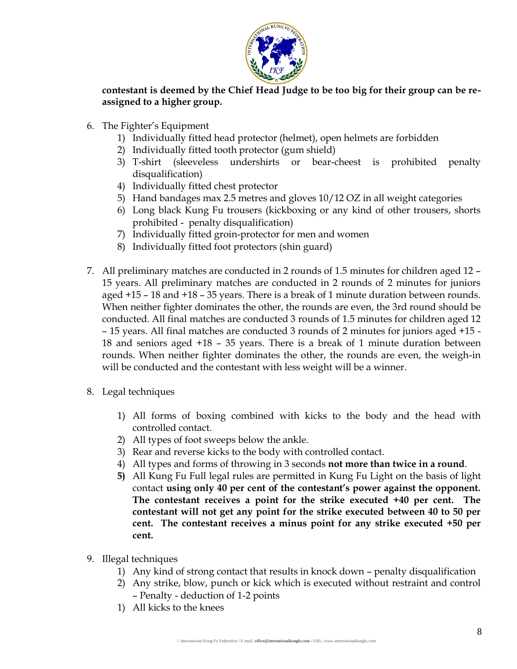

**contestant is deemed by the Chief Head Judge to be too big for their group can be reassigned to a higher group.**

- 6. The Fighter's Equipment
	- 1) Individually fitted head protector (helmet), open helmets are forbidden
	- 2) Individually fitted tooth protector (gum shield)
	- 3) T-shirt (sleeveless undershirts or bear-cheest is prohibited penalty disqualification)
	- 4) Individually fitted chest protector
	- 5) Hand bandages max 2.5 metres and gloves 10/12 OZ in all weight categories
	- 6) Long black Kung Fu trousers (kickboxing or any kind of other trousers, shorts prohibited - penalty disqualification)
	- 7) Individually fitted groin-protector for men and women
	- 8) Individually fitted foot protectors (shin guard)
- 7. All preliminary matches are conducted in 2 rounds of 1.5 minutes for children aged 12 15 years. All preliminary matches are conducted in 2 rounds of 2 minutes for juniors aged +15 – 18 and +18 – 35 years. There is a break of 1 minute duration between rounds. When neither fighter dominates the other, the rounds are even, the 3rd round should be conducted. All final matches are conducted 3 rounds of 1.5 minutes for children aged 12 – 15 years. All final matches are conducted 3 rounds of 2 minutes for juniors aged +15 - 18 and seniors aged +18 – 35 years. There is a break of 1 minute duration between rounds. When neither fighter dominates the other, the rounds are even, the weigh-in will be conducted and the contestant with less weight will be a winner.
- 8. Legal techniques
	- 1) All forms of boxing combined with kicks to the body and the head with controlled contact.
	- 2) All types of foot sweeps below the ankle.
	- 3) Rear and reverse kicks to the body with controlled contact.
	- 4) All types and forms of throwing in 3 seconds **not more than twice in a round**.
	- **5)** All Kung Fu Full legal rules are permitted in Kung Fu Light on the basis of light contact **using only 40 per cent of the contestant's power against the opponent. The contestant receives a point for the strike executed +40 per cent. The contestant will not get any point for the strike executed between 40 to 50 per cent. The contestant receives a minus point for any strike executed +50 per cent.**
- 9. Illegal techniques
	- 1) Any kind of strong contact that results in knock down penalty disqualification
	- 2) Any strike, blow, punch or kick which is executed without restraint and control – Penalty - deduction of 1-2 points
	- 1) All kicks to the knees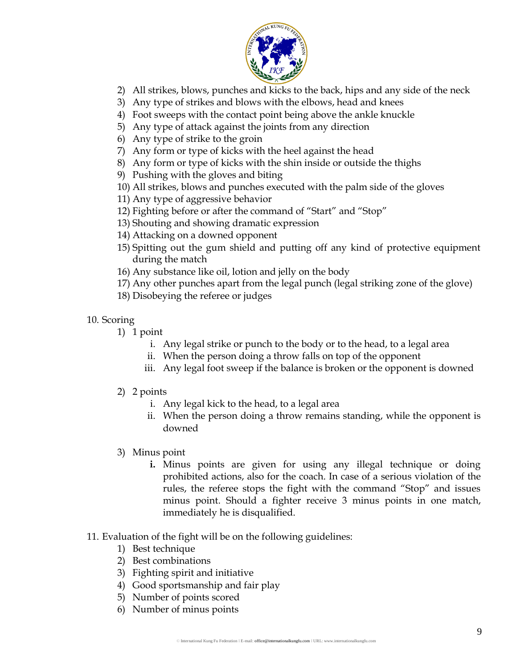

- 2) All strikes, blows, punches and kicks to the back, hips and any side of the neck
- 3) Any type of strikes and blows with the elbows, head and knees
- 4) Foot sweeps with the contact point being above the ankle knuckle
- 5) Any type of attack against the joints from any direction
- 6) Any type of strike to the groin
- 7) Any form or type of kicks with the heel against the head
- 8) Any form or type of kicks with the shin inside or outside the thighs
- 9) Pushing with the gloves and biting
- 10) All strikes, blows and punches executed with the palm side of the gloves
- 11) Any type of aggressive behavior
- 12) Fighting before or after the command of "Start" and "Stop"
- 13) Shouting and showing dramatic expression
- 14) Attacking on a downed opponent
- 15) Spitting out the gum shield and putting off any kind of protective equipment during the match
- 16) Any substance like oil, lotion and jelly on the body
- 17) Any other punches apart from the legal punch (legal striking zone of the glove)
- 18) Disobeying the referee or judges

#### 10. Scoring

- 1) 1 point
	- i. Any legal strike or punch to the body or to the head, to a legal area
	- ii. When the person doing a throw falls on top of the opponent
	- iii. Any legal foot sweep if the balance is broken or the opponent is downed
- 2) 2 points
	- i. Any legal kick to the head, to a legal area
	- ii. When the person doing a throw remains standing, while the opponent is downed
- 3) Minus point
	- **i.** Minus points are given for using any illegal technique or doing prohibited actions, also for the coach. In case of a serious violation of the rules, the referee stops the fight with the command "Stop" and issues minus point. Should a fighter receive 3 minus points in one match, immediately he is disqualified.
- 11. Evaluation of the fight will be on the following guidelines:
	- 1) Best technique
	- 2) Best combinations
	- 3) Fighting spirit and initiative
	- 4) Good sportsmanship and fair play
	- 5) Number of points scored
	- 6) Number of minus points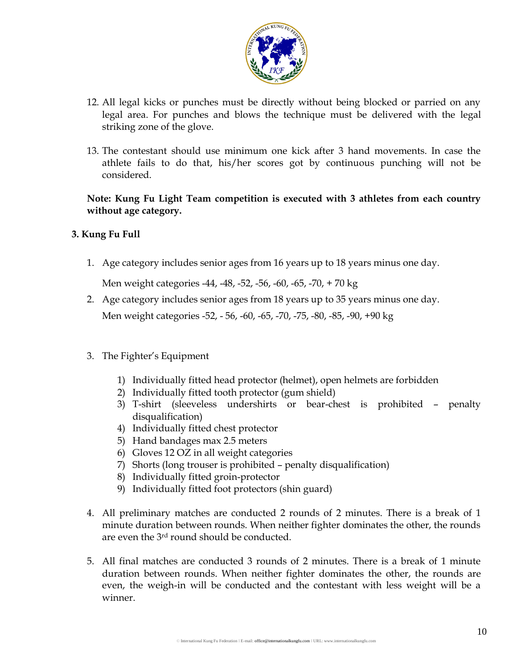

- 12. All legal kicks or punches must be directly without being blocked or parried on any legal area. For punches and blows the technique must be delivered with the legal striking zone of the glove.
- 13. The contestant should use minimum one kick after 3 hand movements. In case the athlete fails to do that, his/her scores got by continuous punching will not be considered.

**Note: Kung Fu Light Team competition is executed with 3 athletes from each country without age category.**

#### **3. Kung Fu Full**

1. Age category includes senior ages from 16 years up to 18 years minus one day.

Men weight categories -44, -48, -52, -56, -60, -65, -70, + 70 kg

- 2. Age category includes senior ages from 18 years up to 35 years minus one day. Men weight categories -52, - 56, -60, -65, -70, -75, -80, -85, -90, +90 kg
- 3. The Fighter's Equipment
	- 1) Individually fitted head protector (helmet), open helmets are forbidden
	- 2) Individually fitted tooth protector (gum shield)
	- 3) T-shirt (sleeveless undershirts or bear-chest is prohibited penalty disqualification)
	- 4) Individually fitted chest protector
	- 5) Hand bandages max 2.5 meters
	- 6) Gloves 12 OZ in all weight categories
	- 7) Shorts (long trouser is prohibited penalty disqualification)
	- 8) Individually fitted groin-protector
	- 9) Individually fitted foot protectors (shin guard)
- 4. All preliminary matches are conducted 2 rounds of 2 minutes. There is a break of 1 minute duration between rounds. When neither fighter dominates the other, the rounds are even the 3rd round should be conducted.
- 5. All final matches are conducted 3 rounds of 2 minutes. There is a break of 1 minute duration between rounds. When neither fighter dominates the other, the rounds are even, the weigh-in will be conducted and the contestant with less weight will be a winner.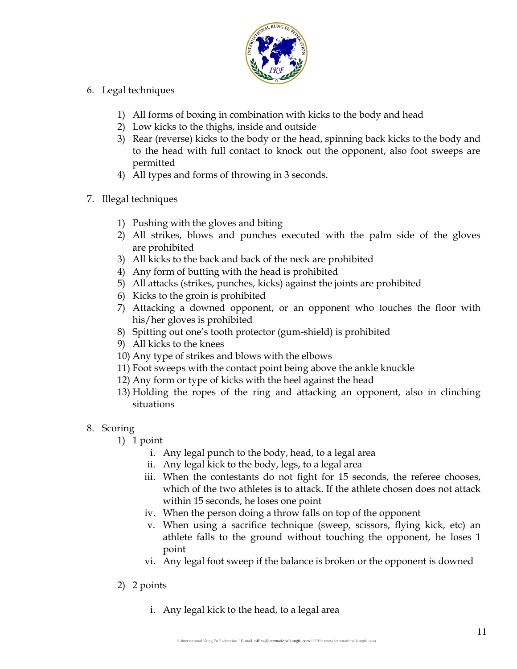

- 6. Legal techniques
	- 1) All forms of boxing in combination with kicks to the body and head
	- 2) Low kicks to the thighs, inside and outside
	- 3) Rear (reverse) kicks to the body or the head, spinning back kicks to the body and to the head with full contact to knock out the opponent, also foot sweeps are permitted
	- 4) All types and forms of throwing in 3 seconds.
- 7. Illegal techniques
	- 1) Pushing with the gloves and biting
	- 2) All strikes, blows and punches executed with the palm side of the gloves are prohibited
	- 3) All kicks to the back and back of the neck are prohibited
	- 4) Any form of butting with the head is prohibited
	- 5) All attacks (strikes, punches, kicks) against the joints are prohibited
	- 6) Kicks to the groin is prohibited
	- 7) Attacking a downed opponent, or an opponent who touches the floor with his/her gloves is prohibited
	- 8) Spitting out one's tooth protector (gum-shield) is prohibited
	- 9) All kicks to the knees
	- 10) Any type of strikes and blows with the elbows
	- 11) Foot sweeps with the contact point being above the ankle knuckle
	- 12) Any form or type of kicks with the heel against the head
	- 13) Holding the ropes of the ring and attacking an opponent, also in clinching situations

#### 8. Scoring

- 1) 1 point
	- i. Any legal punch to the body, head, to a legal area
	- ii. Any legal kick to the body, legs, to a legal area
	- iii. When the contestants do not fight for 15 seconds, the referee chooses, which of the two athletes is to attack. If the athlete chosen does not attack within 15 seconds, he loses one point
	- iv. When the person doing a throw falls on top of the opponent
	- v. When using a sacrifice technique (sweep, scissors, flying kick, etc) an athlete falls to the ground without touching the opponent, he loses 1 point
	- vi. Any legal foot sweep if the balance is broken or the opponent is downed
- 2) 2 points
	- i. Any legal kick to the head, to a legal area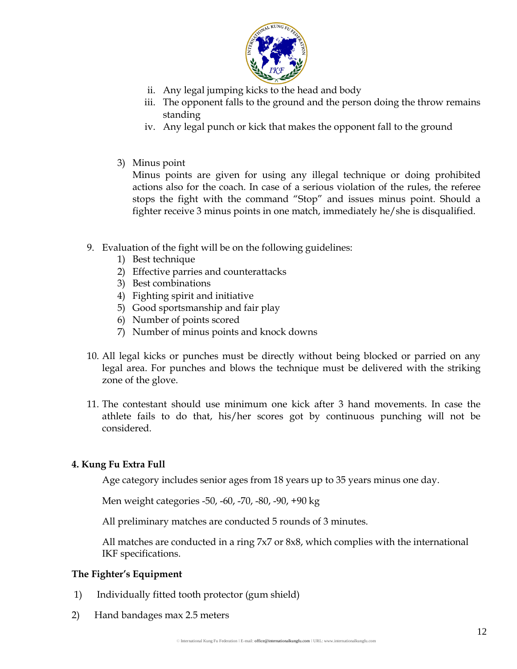

- ii. Any legal jumping kicks to the head and body
- iii. The opponent falls to the ground and the person doing the throw remains standing
- iv. Any legal punch or kick that makes the opponent fall to the ground
- 3) Minus point

Minus points are given for using any illegal technique or doing prohibited actions also for the coach. In case of a serious violation of the rules, the referee stops the fight with the command "Stop" and issues minus point. Should a fighter receive 3 minus points in one match, immediately he/she is disqualified.

- 9. Evaluation of the fight will be on the following guidelines:
	- 1) Best technique
	- 2) Effective parries and counterattacks
	- 3) Best combinations
	- 4) Fighting spirit and initiative
	- 5) Good sportsmanship and fair play
	- 6) Number of points scored
	- 7) Number of minus points and knock downs
- 10. All legal kicks or punches must be directly without being blocked or parried on any legal area. For punches and blows the technique must be delivered with the striking zone of the glove.
- 11. The contestant should use minimum one kick after 3 hand movements. In case the athlete fails to do that, his/her scores got by continuous punching will not be considered.

## **4. Kung Fu Extra Full**

Age category includes senior ages from 18 years up to 35 years minus one day.

Men weight categories -50, -60, -70, -80, -90, +90 kg

All preliminary matches are conducted 5 rounds of 3 minutes.

All matches are conducted in a ring 7x7 or 8x8, which complies with the international IKF specifications.

#### **The Fighter's Equipment**

- 1) Individually fitted tooth protector (gum shield)
- 2) Hand bandages max 2.5 meters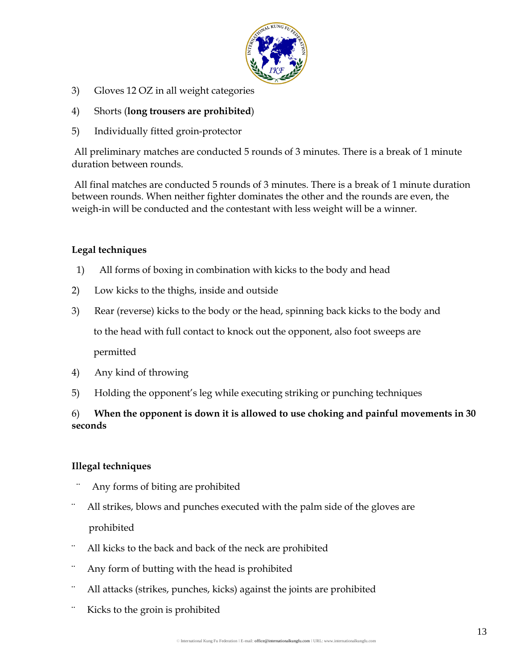

- 3) Gloves 12 OZ in all weight categories
- 4) Shorts (**long trousers are prohibited**)
- 5) Individually fitted groin-protector

All preliminary matches are conducted 5 rounds of 3 minutes. There is a break of 1 minute duration between rounds.

All final matches are conducted 5 rounds of 3 minutes. There is a break of 1 minute duration between rounds. When neither fighter dominates the other and the rounds are even, the weigh-in will be conducted and the contestant with less weight will be a winner.

#### **Legal techniques**

- 1) All forms of boxing in combination with kicks to the body and head
- 2) Low kicks to the thighs, inside and outside
- 3) Rear (reverse) kicks to the body or the head, spinning back kicks to the body and to the head with full contact to knock out the opponent, also foot sweeps are permitted
- 4) Any kind of throwing
- 5) Holding the opponent's leg while executing striking or punching techniques

## 6) **When the opponent is down it is allowed to use choking and painful movements in 30 seconds**

#### **Illegal techniques**

- Any forms of biting are prohibited
- All strikes, blows and punches executed with the palm side of the gloves are prohibited
- ¨ All kicks to the back and back of the neck are prohibited
- Any form of butting with the head is prohibited
- All attacks (strikes, punches, kicks) against the joints are prohibited
- Kicks to the groin is prohibited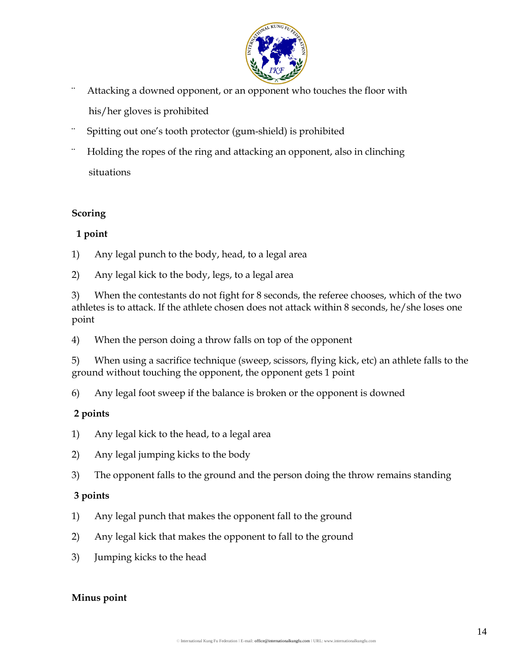

- ¨ Attacking a downed opponent, or an opponent who touches the floor with his/her gloves is prohibited
- Spitting out one's tooth protector (gum-shield) is prohibited
- ¨ Holding the ropes of the ring and attacking an opponent, also in clinching situations

#### **Scoring**

#### **1 point**

- 1) Any legal punch to the body, head, to a legal area
- 2) Any legal kick to the body, legs, to a legal area

3) When the contestants do not fight for 8 seconds, the referee chooses, which of the two athletes is to attack. If the athlete chosen does not attack within 8 seconds, he/she loses one point

4) When the person doing a throw falls on top of the opponent

5) When using a sacrifice technique (sweep, scissors, flying kick, etc) an athlete falls to the ground without touching the opponent, the opponent gets 1 point

6) Any legal foot sweep if the balance is broken or the opponent is downed

## **2 points**

- 1) Any legal kick to the head, to a legal area
- 2) Any legal jumping kicks to the body
- 3) The opponent falls to the ground and the person doing the throw remains standing

## **3 points**

- 1) Any legal punch that makes the opponent fall to the ground
- 2) Any legal kick that makes the opponent to fall to the ground
- 3) Jumping kicks to the head

#### **Minus point**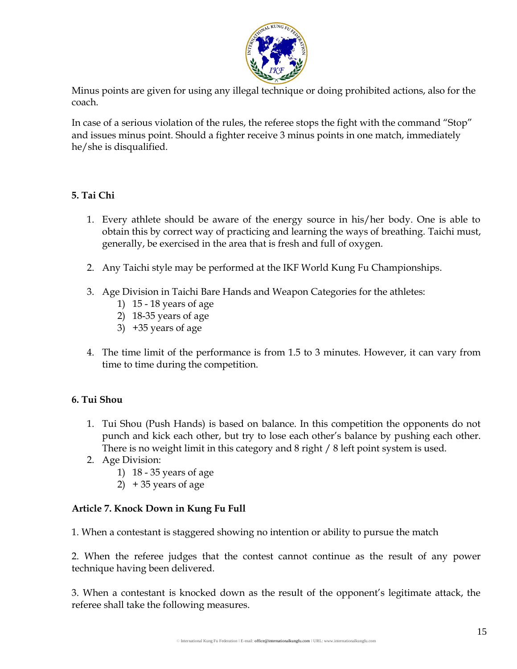

Minus points are given for using any illegal technique or doing prohibited actions, also for the coach.

In case of a serious violation of the rules, the referee stops the fight with the command "Stop" and issues minus point. Should a fighter receive 3 minus points in one match, immediately he/she is disqualified.

## **5. Tai Chi**

- 1. Every athlete should be aware of the energy source in his/her body. One is able to obtain this by correct way of practicing and learning the ways of breathing. Taichi must, generally, be exercised in the area that is fresh and full of oxygen.
- 2. Any Taichi style may be performed at the IKF World Kung Fu Championships.
- 3. Age Division in Taichi Bare Hands and Weapon Categories for the athletes:
	- 1) 15 18 years of age
	- 2) 18-35 years of age
	- 3) +35 years of age
- 4. The time limit of the performance is from 1.5 to 3 minutes. However, it can vary from time to time during the competition.

## **6. Tui Shou**

- 1. Tui Shou (Push Hands) is based on balance. In this competition the opponents do not punch and kick each other, but try to lose each other's balance by pushing each other. There is no weight limit in this category and 8 right / 8 left point system is used.
- 2. Age Division:
	- 1) 18 35 years of age
	- 2) + 35 years of age

## **Article 7. Knock Down in Kung Fu Full**

1. When a contestant is staggered showing no intention or ability to pursue the match

2. When the referee judges that the contest cannot continue as the result of any power technique having been delivered.

3. When a contestant is knocked down as the result of the opponent's legitimate attack, the referee shall take the following measures.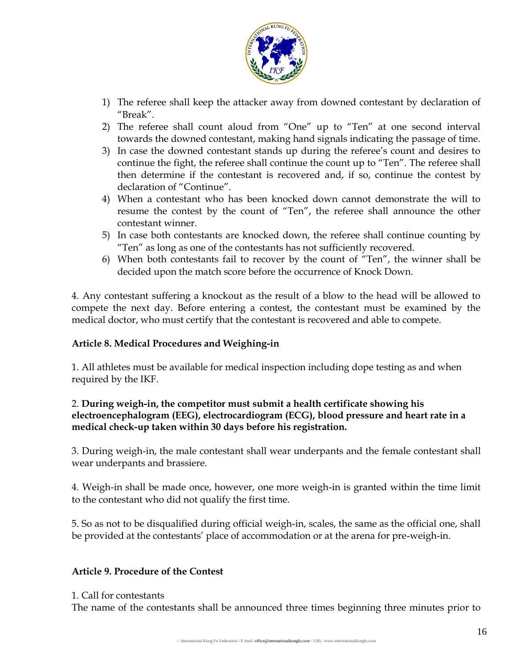

- 1) The referee shall keep the attacker away from downed contestant by declaration of "Break".
- 2) The referee shall count aloud from "One" up to "Ten" at one second interval towards the downed contestant, making hand signals indicating the passage of time.
- 3) In case the downed contestant stands up during the referee's count and desires to continue the fight, the referee shall continue the count up to "Ten". The referee shall then determine if the contestant is recovered and, if so, continue the contest by declaration of "Continue".
- 4) When a contestant who has been knocked down cannot demonstrate the will to resume the contest by the count of "Ten", the referee shall announce the other contestant winner.
- 5) In case both contestants are knocked down, the referee shall continue counting by "Ten" as long as one of the contestants has not sufficiently recovered.
- 6) When both contestants fail to recover by the count of "Ten", the winner shall be decided upon the match score before the occurrence of Knock Down.

4. Any contestant suffering a knockout as the result of a blow to the head will be allowed to compete the next day. Before entering a contest, the contestant must be examined by the medical doctor, who must certify that the contestant is recovered and able to compete.

## **Article 8. Medical Procedures and Weighing-in**

1. All athletes must be available for medical inspection including dope testing as and when required by the IKF.

#### 2. **During weigh-in, the competitor must submit a health certificate showing his electroencephalogram (EEG), electrocardiogram (ECG), blood pressure and heart rate in a medical check-up taken within 30 days before his registration.**

3. During weigh-in, the male contestant shall wear underpants and the female contestant shall wear underpants and brassiere.

4. Weigh-in shall be made once, however, one more weigh-in is granted within the time limit to the contestant who did not qualify the first time.

5. So as not to be disqualified during official weigh-in, scales, the same as the official one, shall be provided at the contestants' place of accommodation or at the arena for pre-weigh-in.

#### **Article 9. Procedure of the Contest**

#### 1. Call for contestants

The name of the contestants shall be announced three times beginning three minutes prior to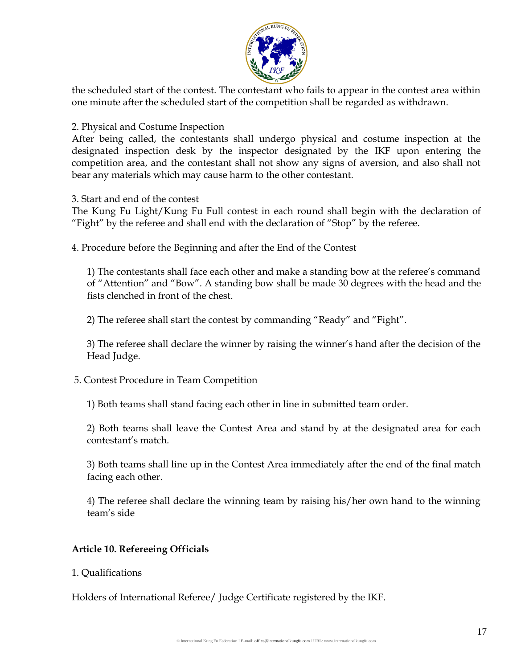

the scheduled start of the contest. The contestant who fails to appear in the contest area within one minute after the scheduled start of the competition shall be regarded as withdrawn.

2. Physical and Costume Inspection

After being called, the contestants shall undergo physical and costume inspection at the designated inspection desk by the inspector designated by the IKF upon entering the competition area, and the contestant shall not show any signs of aversion, and also shall not bear any materials which may cause harm to the other contestant.

3. Start and end of the contest

The Kung Fu Light/Kung Fu Full contest in each round shall begin with the declaration of "Fight" by the referee and shall end with the declaration of "Stop" by the referee.

4. Procedure before the Beginning and after the End of the Contest

1) The contestants shall face each other and make a standing bow at the referee's command of "Attention" and "Bow". A standing bow shall be made 30 degrees with the head and the fists clenched in front of the chest.

2) The referee shall start the contest by commanding "Ready" and "Fight".

3) The referee shall declare the winner by raising the winner's hand after the decision of the Head Judge.

5. Contest Procedure in Team Competition

1) Both teams shall stand facing each other in line in submitted team order.

2) Both teams shall leave the Contest Area and stand by at the designated area for each contestant's match.

3) Both teams shall line up in the Contest Area immediately after the end of the final match facing each other.

4) The referee shall declare the winning team by raising his/her own hand to the winning team's side

#### **Article 10. Refereeing Officials**

1. Qualifications

Holders of International Referee/ Judge Certificate registered by the IKF.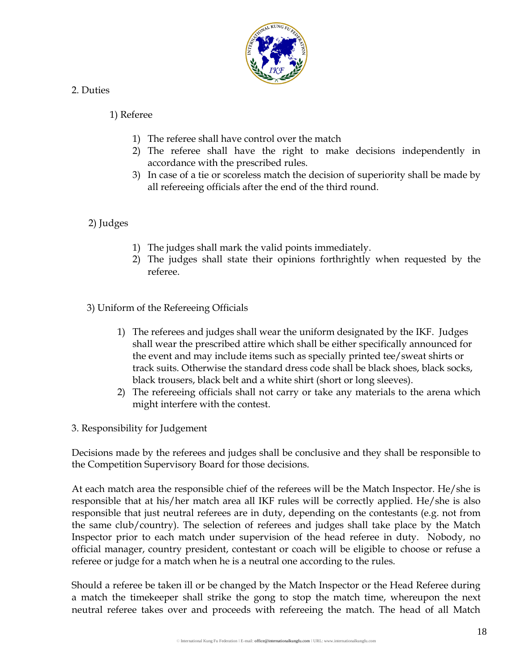

#### 2. Duties

#### 1) Referee

- 1) The referee shall have control over the match
- 2) The referee shall have the right to make decisions independently in accordance with the prescribed rules.
- 3) In case of a tie or scoreless match the decision of superiority shall be made by all refereeing officials after the end of the third round.

#### 2) Judges

- 1) The judges shall mark the valid points immediately.
- 2) The judges shall state their opinions forthrightly when requested by the referee.

3) Uniform of the Refereeing Officials

- 1) The referees and judges shall wear the uniform designated by the IKF. Judges shall wear the prescribed attire which shall be either specifically announced for the event and may include items such as specially printed tee/sweat shirts or track suits. Otherwise the standard dress code shall be black shoes, black socks, black trousers, black belt and a white shirt (short or long sleeves).
- 2) The refereeing officials shall not carry or take any materials to the arena which might interfere with the contest.
- 3. Responsibility for Judgement

Decisions made by the referees and judges shall be conclusive and they shall be responsible to the Competition Supervisory Board for those decisions.

At each match area the responsible chief of the referees will be the Match Inspector. He/she is responsible that at his/her match area all IKF rules will be correctly applied. He/she is also responsible that just neutral referees are in duty, depending on the contestants (e.g. not from the same club/country). The selection of referees and judges shall take place by the Match Inspector prior to each match under supervision of the head referee in duty. Nobody, no official manager, country president, contestant or coach will be eligible to choose or refuse a referee or judge for a match when he is a neutral one according to the rules.

Should a referee be taken ill or be changed by the Match Inspector or the Head Referee during a match the timekeeper shall strike the gong to stop the match time, whereupon the next neutral referee takes over and proceeds with refereeing the match. The head of all Match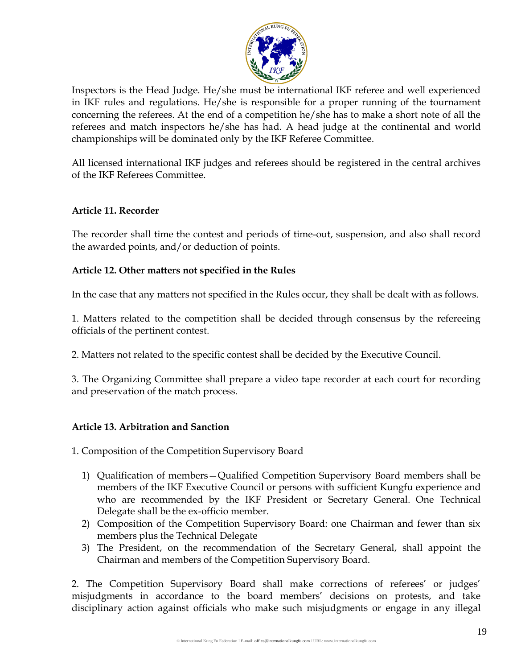

Inspectors is the Head Judge. He/she must be international IKF referee and well experienced in IKF rules and regulations. He/she is responsible for a proper running of the tournament concerning the referees. At the end of a competition he/she has to make a short note of all the referees and match inspectors he/she has had. A head judge at the continental and world championships will be dominated only by the IKF Referee Committee.

All licensed international IKF judges and referees should be registered in the central archives of the IKF Referees Committee.

#### **Article 11. Recorder**

The recorder shall time the contest and periods of time-out, suspension, and also shall record the awarded points, and/or deduction of points.

#### **Article 12. Other matters not specified in the Rules**

In the case that any matters not specified in the Rules occur, they shall be dealt with as follows.

1. Matters related to the competition shall be decided through consensus by the refereeing officials of the pertinent contest.

2. Matters not related to the specific contest shall be decided by the Executive Council.

3. The Organizing Committee shall prepare a video tape recorder at each court for recording and preservation of the match process.

#### **Article 13. Arbitration and Sanction**

1. Composition of the Competition Supervisory Board

- 1) Qualification of members—Qualified Competition Supervisory Board members shall be members of the IKF Executive Council or persons with sufficient Kungfu experience and who are recommended by the IKF President or Secretary General. One Technical Delegate shall be the ex-officio member.
- 2) Composition of the Competition Supervisory Board: one Chairman and fewer than six members plus the Technical Delegate
- 3) The President, on the recommendation of the Secretary General, shall appoint the Chairman and members of the Competition Supervisory Board.

2. The Competition Supervisory Board shall make corrections of referees' or judges' misjudgments in accordance to the board members' decisions on protests, and take disciplinary action against officials who make such misjudgments or engage in any illegal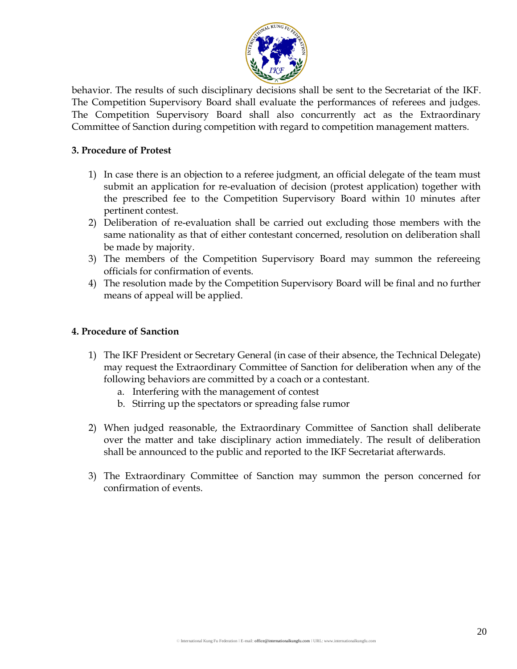

behavior. The results of such disciplinary decisions shall be sent to the Secretariat of the IKF. The Competition Supervisory Board shall evaluate the performances of referees and judges. The Competition Supervisory Board shall also concurrently act as the Extraordinary Committee of Sanction during competition with regard to competition management matters.

#### **3. Procedure of Protest**

- 1) In case there is an objection to a referee judgment, an official delegate of the team must submit an application for re-evaluation of decision (protest application) together with the prescribed fee to the Competition Supervisory Board within 10 minutes after pertinent contest.
- 2) Deliberation of re-evaluation shall be carried out excluding those members with the same nationality as that of either contestant concerned, resolution on deliberation shall be made by majority.
- 3) The members of the Competition Supervisory Board may summon the refereeing officials for confirmation of events.
- 4) The resolution made by the Competition Supervisory Board will be final and no further means of appeal will be applied.

#### **4. Procedure of Sanction**

- 1) The IKF President or Secretary General (in case of their absence, the Technical Delegate) may request the Extraordinary Committee of Sanction for deliberation when any of the following behaviors are committed by a coach or a contestant.
	- a. Interfering with the management of contest
	- b. Stirring up the spectators or spreading false rumor
- 2) When judged reasonable, the Extraordinary Committee of Sanction shall deliberate over the matter and take disciplinary action immediately. The result of deliberation shall be announced to the public and reported to the IKF Secretariat afterwards.
- 3) The Extraordinary Committee of Sanction may summon the person concerned for confirmation of events.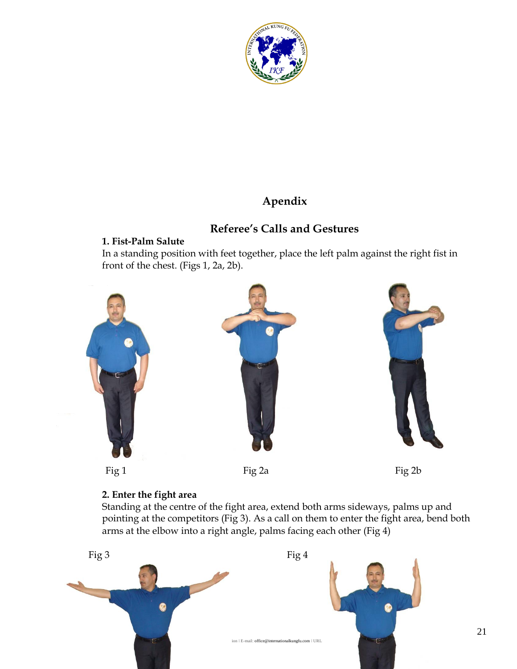

# **Apendix**

# **Referee's Calls and Gestures**

## **1. Fist-Palm Salute**

In a standing position with feet together, place the left palm against the right fist in front of the chest. (Figs 1, 2a, 2b).



## **2. Enter the fight area**

Standing at the centre of the fight area, extend both arms sideways, palms up and pointing at the competitors (Fig 3). As a call on them to enter the fight area, bend both arms at the elbow into a right angle, palms facing each other (Fig 4)

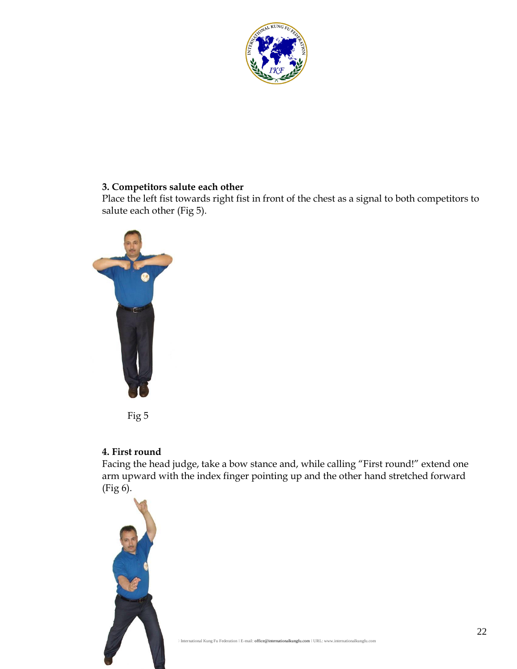

#### **3. Competitors salute each other**

Place the left fist towards right fist in front of the chest as a signal to both competitors to salute each other (Fig 5).



Fig 5

## **4. First round**

Facing the head judge, take a bow stance and, while calling "First round!" extend one arm upward with the index finger pointing up and the other hand stretched forward (Fig 6).

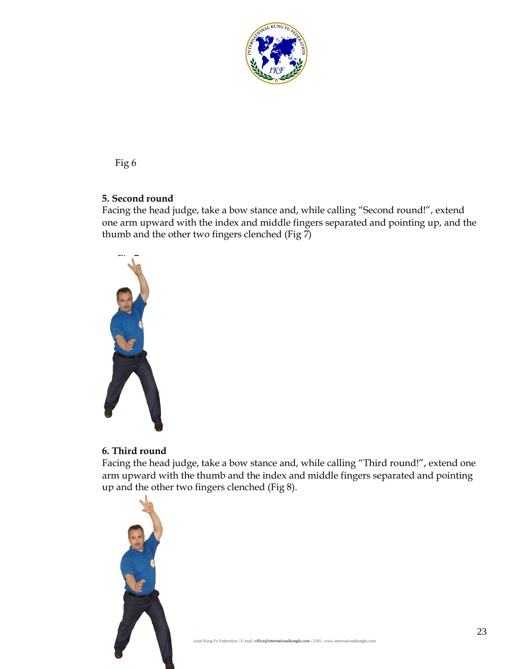

#### **5. Second round**

Facing the head judge, take a bow stance and, while calling "Second round!", extend one arm upward with the index and middle fingers separated and pointing up, and the thumb and the other two fingers clenched (Fig  $\bar{7}$ )



## **6. Third round**

Facing the head judge, take a bow stance and, while calling "Third round!", extend one arm upward with the thumb and the index and middle fingers separated and pointing up and the other two fingers clenched (Fig 8).

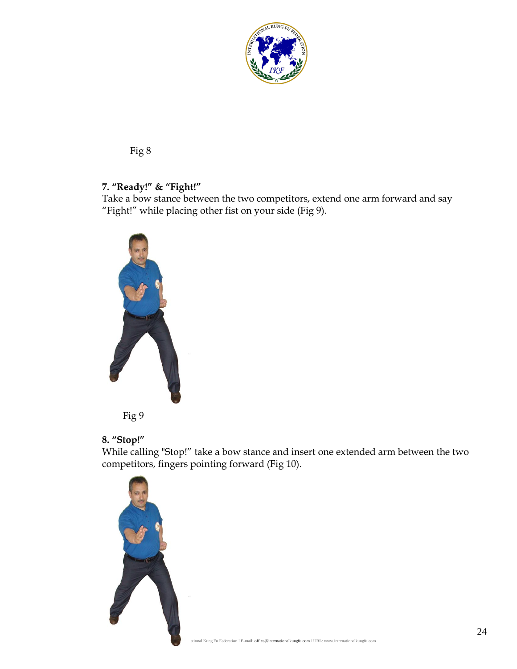

## **7. "Ready!" & "Fight!"**

Take a bow stance between the two competitors, extend one arm forward and say "Fight!" while placing other fist on your side (Fig 9).





## **8. "Stop!"**

While calling "Stop!" take a bow stance and insert one extended arm between the two competitors, fingers pointing forward (Fig 10).

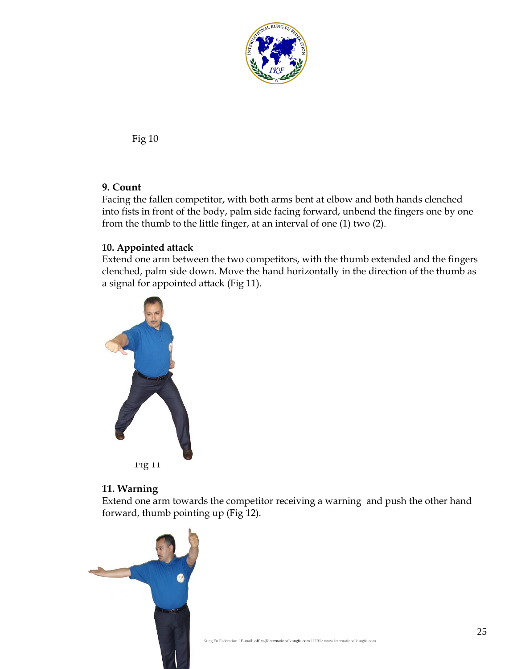

## **9. Count**

Facing the fallen competitor, with both arms bent at elbow and both hands clenched into fists in front of the body, palm side facing forward, unbend the fingers one by one from the thumb to the little finger, at an interval of one (1) two (2).

#### **10. Appointed attack**

Extend one arm between the two competitors, with the thumb extended and the fingers clenched, palm side down. Move the hand horizontally in the direction of the thumb as a signal for appointed attack (Fig 11).



#### **11. Warning**

Extend one arm towards the competitor receiving a warning and push the other hand forward, thumb pointing up (Fig 12).

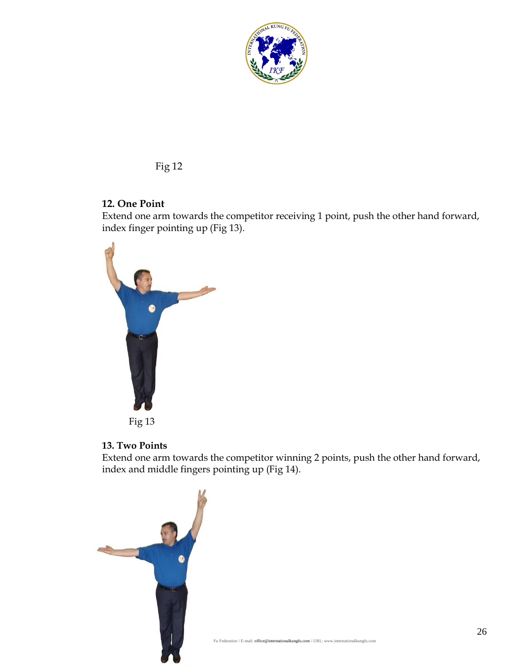

## **12. One Point**

Extend one arm towards the competitor receiving 1 point, push the other hand forward, index finger pointing up (Fig 13).



Fig 13

## **13. Two Points**

Extend one arm towards the competitor winning 2 points, push the other hand forward, index and middle fingers pointing up (Fig 14).

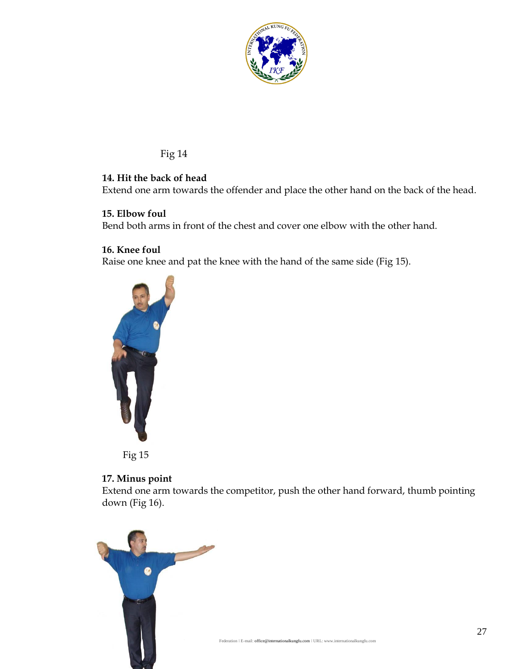

## **14. Hit the back of head**

Extend one arm towards the offender and place the other hand on the back of the head.

#### **15. Elbow foul**

Bend both arms in front of the chest and cover one elbow with the other hand.

#### **16. Knee foul**

Raise one knee and pat the knee with the hand of the same side (Fig 15).



Fig 15

#### **17. Minus point**

Extend one arm towards the competitor, push the other hand forward, thumb pointing down (Fig 16).

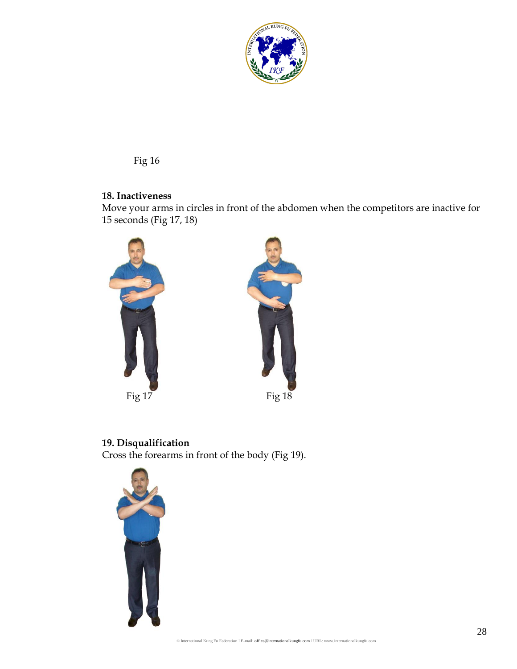

#### **18. Inactiveness**

Move your arms in circles in front of the abdomen when the competitors are inactive for 15 seconds (Fig 17, 18)



# **19. Disqualification**

Cross the forearms in front of the body (Fig 19).

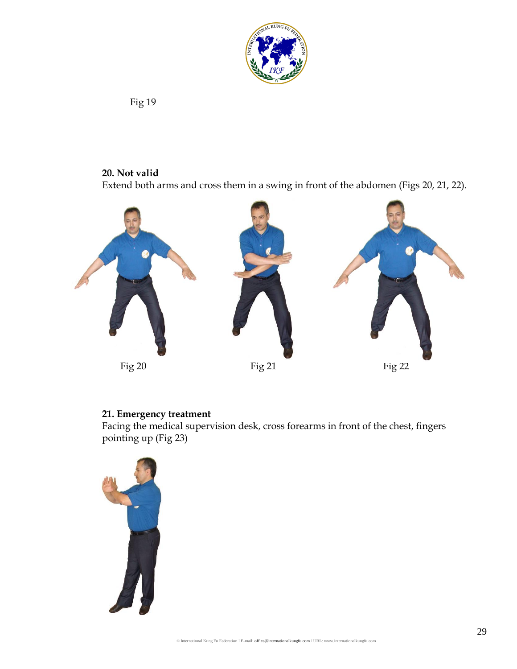

## **20. Not valid**

Extend both arms and cross them in a swing in front of the abdomen (Figs 20, 21, 22).



# **21. Emergency treatment**

Facing the medical supervision desk, cross forearms in front of the chest, fingers pointing up (Fig 23)

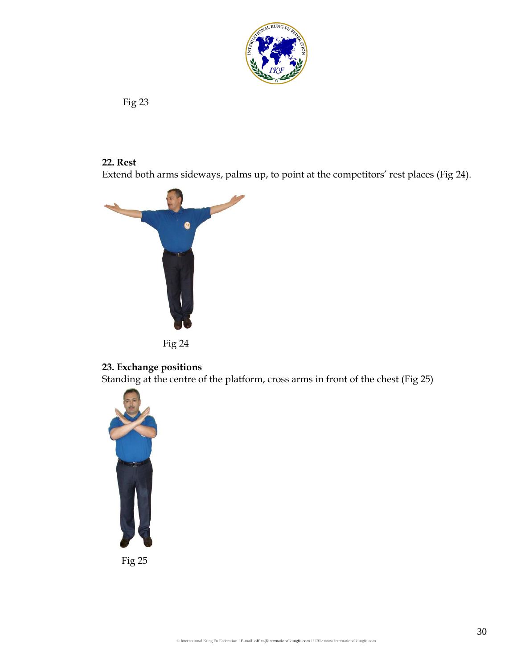

## **22. Rest**

Extend both arms sideways, palms up, to point at the competitors' rest places (Fig 24).





## **23. Exchange positions**

Standing at the centre of the platform, cross arms in front of the chest (Fig 25)



Fig 25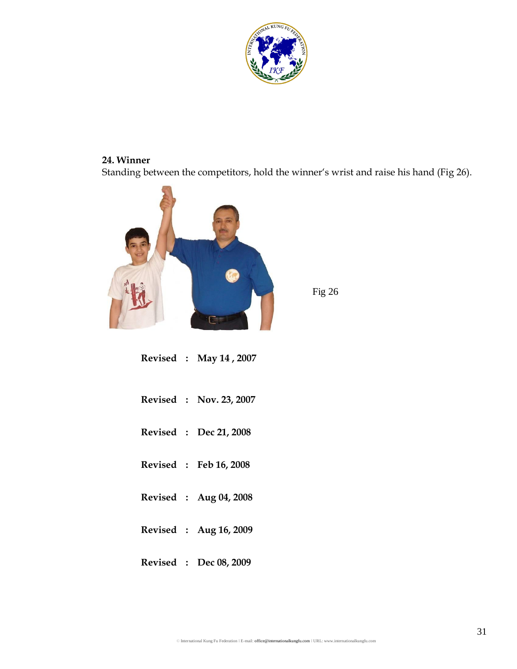

## **24. Winner**

Standing between the competitors, hold the winner's wrist and raise his hand (Fig 26).



Fig 26

|  | Revised : May 14, 2007  |
|--|-------------------------|
|  | Revised : Nov. 23, 2007 |
|  | Revised : Dec 21, 2008  |
|  | Revised : Feb 16, 2008  |
|  | Revised : Aug 04, 2008  |
|  | Revised : Aug 16, 2009  |
|  | Revised : Dec 08, 2009  |